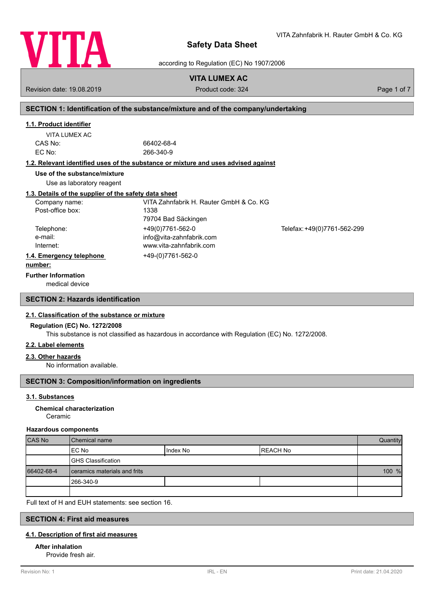

according to Regulation (EC) No 1907/2006

# **VITA LUMEX AC**

Revision date: 19.08.2019 **Product code: 324** Product code: 324 Page 1 of 7

# **SECTION 1: Identification of the substance/mixture and of the company/undertaking**

# **1.1. Product identifier**

| VITA LUMEX AC |  |
|---------------|--|
| CAS No:       |  |
| EC No:        |  |

66402-68-4 EC No: 266-340-9

# **1.2. Relevant identified uses of the substance or mixture and uses advised against**

**Use of the substance/mixture**

Use as laboratory reagent

# **1.3. Details of the supplier of the safety data sheet**

| Company name:            | VITA Zahnfabrik H. Rauter GmbH & Co. KG |                             |
|--------------------------|-----------------------------------------|-----------------------------|
| Post-office box:         | 1338                                    |                             |
|                          | 79704 Bad Säckingen                     |                             |
| Telephone:               | +49(0)7761-562-0                        | Telefax: +49(0)7761-562-299 |
| e-mail:                  | info@vita-zahnfabrik.com                |                             |
| Internet:                | www.vita-zahnfabrik.com                 |                             |
| 1.4. Emergency telephone | +49-(0)7761-562-0                       |                             |
| . 1.                     |                                         |                             |

## **number:**

**Further Information**

medical device

# **SECTION 2: Hazards identification**

# **2.1. Classification of the substance or mixture**

## **Regulation (EC) No. 1272/2008**

This substance is not classified as hazardous in accordance with Regulation (EC) No. 1272/2008.

## **2.2. Label elements**

#### **2.3. Other hazards**

No information available.

# **SECTION 3: Composition/information on ingredients**

## **3.1. Substances**

#### Ceramic **Chemical characterization**

#### **Hazardous components**

| <b>CAS No</b> | Chemical name                |          | Quantity         |  |
|---------------|------------------------------|----------|------------------|--|
|               | IEC No                       | Index No | <b>IREACH No</b> |  |
|               | GHS Classification           |          |                  |  |
| 66402-68-4    | ceramics materials and frits |          | 100 %            |  |
|               | 1266-340-9                   |          |                  |  |
|               |                              |          |                  |  |

Full text of H and EUH statements: see section 16.

# **SECTION 4: First aid measures**

### **4.1. Description of first aid measures**

# **After inhalation**

Provide fresh air.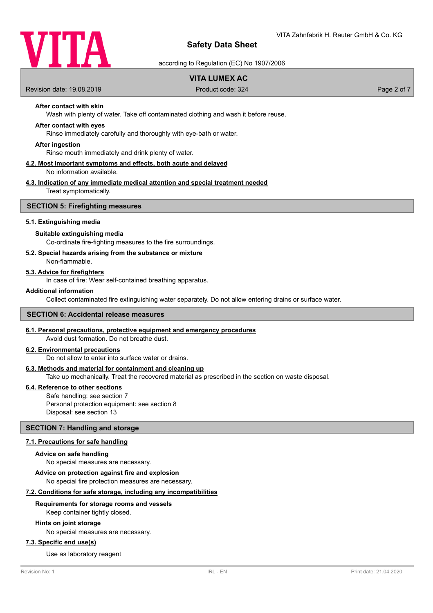

according to Regulation (EC) No 1907/2006

# **VITA LUMEX AC**

Revision date: 19.08.2019 **Product code: 324** Product code: 324 Page 2 of 7

# **After contact with skin**

Wash with plenty of water. Take off contaminated clothing and wash it before reuse.

### **After contact with eyes**

Rinse immediately carefully and thoroughly with eye-bath or water.

#### **After ingestion**

Rinse mouth immediately and drink plenty of water.

#### **4.2. Most important symptoms and effects, both acute and delayed** No information available.

# **4.3. Indication of any immediate medical attention and special treatment needed**

Treat symptomatically.

#### **SECTION 5: Firefighting measures**

#### **5.1. Extinguishing media**

#### **Suitable extinguishing media**

Co-ordinate fire-fighting measures to the fire surroundings.

### **5.2. Special hazards arising from the substance or mixture**

Non-flammable.

#### **5.3. Advice for firefighters**

In case of fire: Wear self-contained breathing apparatus.

#### **Additional information**

Collect contaminated fire extinguishing water separately. Do not allow entering drains or surface water.

#### **SECTION 6: Accidental release measures**

#### **6.1. Personal precautions, protective equipment and emergency procedures**

Avoid dust formation. Do not breathe dust.

# **6.2. Environmental precautions**

Do not allow to enter into surface water or drains.

#### **6.3. Methods and material for containment and cleaning up**

Take up mechanically. Treat the recovered material as prescribed in the section on waste disposal.

### **6.4. Reference to other sections**

Safe handling: see section 7 Personal protection equipment: see section 8 Disposal: see section 13

### **SECTION 7: Handling and storage**

#### **7.1. Precautions for safe handling**

#### **Advice on safe handling**

No special measures are necessary.

**Advice on protection against fire and explosion**

No special fire protection measures are necessary.

## **7.2. Conditions for safe storage, including any incompatibilities**

#### **Requirements for storage rooms and vessels**

Keep container tightly closed.

#### **Hints on joint storage**

No special measures are necessary.

## **7.3. Specific end use(s)**

Use as laboratory reagent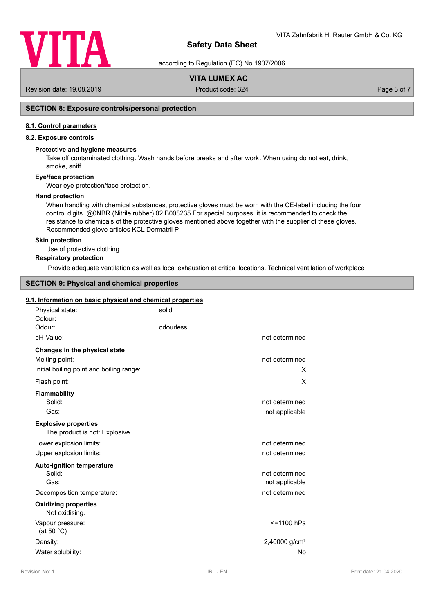

according to Regulation (EC) No 1907/2006

# **VITA LUMEX AC**

Revision date: 19.08.2019 **Product code: 324** Product code: 324 Page 3 of 7

# **SECTION 8: Exposure controls/personal protection**

### **8.1. Control parameters**

# **8.2. Exposure controls**

### **Protective and hygiene measures**

Take off contaminated clothing. Wash hands before breaks and after work. When using do not eat, drink, smoke, sniff.

#### **Eye/face protection**

Wear eye protection/face protection.

#### **Hand protection**

When handling with chemical substances, protective gloves must be worn with the CE-label including the four control digits. @0NBR (Nitrile rubber) 02.B008235 For special purposes, it is recommended to check the resistance to chemicals of the protective gloves mentioned above together with the supplier of these gloves. Recommended glove articles KCL Dermatril P

#### **Skin protection**

Use of protective clothing.

### **Respiratory protection**

Provide adequate ventilation as well as local exhaustion at critical locations. Technical ventilation of workplace

# **SECTION 9: Physical and chemical properties**

#### **9.1. Information on basic physical and chemical properties**

| Physical state:<br>Colour:                    | solid     |                 |
|-----------------------------------------------|-----------|-----------------|
| Odour:                                        | odourless |                 |
| pH-Value:                                     |           | not determined  |
| Changes in the physical state                 |           |                 |
| Melting point:                                |           | not determined  |
| Initial boiling point and boiling range:      |           | X               |
| Flash point:                                  |           | X               |
| <b>Flammability</b>                           |           |                 |
| Solid:                                        |           | not determined  |
| Gas:                                          |           | not applicable  |
| <b>Explosive properties</b>                   |           |                 |
| The product is not: Explosive.                |           |                 |
| Lower explosion limits:                       |           | not determined  |
| Upper explosion limits:                       |           | not determined  |
| <b>Auto-ignition temperature</b>              |           |                 |
| Solid:                                        |           | not determined  |
| Gas:                                          |           | not applicable  |
| Decomposition temperature:                    |           | not determined  |
| <b>Oxidizing properties</b><br>Not oxidising. |           |                 |
| Vapour pressure:<br>(at 50 $^{\circ}$ C)      |           | <=1100 hPa      |
| Density:                                      |           | 2,40000 $g/cm3$ |
| Water solubility:                             |           | No              |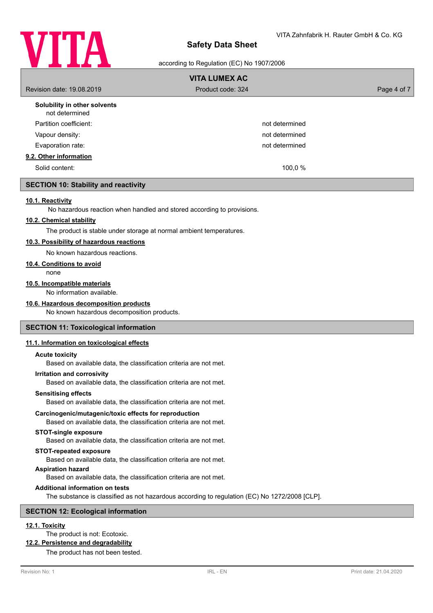

according to Regulation (EC) No 1907/2006

| <b>VITA LUMEX AC</b>                           |                   |             |
|------------------------------------------------|-------------------|-------------|
| Revision date: 19,08,2019                      | Product code: 324 | Page 4 of 7 |
| Solubility in other solvents<br>not determined |                   |             |
| Partition coefficient:                         | not determined    |             |
| Vapour density:                                | not determined    |             |
| Evaporation rate:                              | not determined    |             |
| 9.2. Other information                         |                   |             |
| Solid content:                                 | 100,0 %           |             |

### **SECTION 10: Stability and reactivity**

#### **10.1. Reactivity**

No hazardous reaction when handled and stored according to provisions.

## **10.2. Chemical stability**

The product is stable under storage at normal ambient temperatures.

## **10.3. Possibility of hazardous reactions**

No known hazardous reactions.

#### **10.4. Conditions to avoid**

none

### **10.5. Incompatible materials**

No information available.

## **10.6. Hazardous decomposition products**

No known hazardous decomposition products.

#### **SECTION 11: Toxicological information**

#### **11.1. Information on toxicological effects**

#### **Acute toxicity**

Based on available data, the classification criteria are not met.

#### **Irritation and corrosivity**

Based on available data, the classification criteria are not met.

#### **Sensitising effects**

Based on available data, the classification criteria are not met.

#### **Carcinogenic/mutagenic/toxic effects for reproduction**

Based on available data, the classification criteria are not met.

#### **STOT-single exposure**

Based on available data, the classification criteria are not met.

#### **STOT-repeated exposure**

Based on available data, the classification criteria are not met.

### **Aspiration hazard**

Based on available data, the classification criteria are not met.

## **Additional information on tests**

The substance is classified as not hazardous according to regulation (EC) No 1272/2008 [CLP].

#### **SECTION 12: Ecological information**

# **12.1. Toxicity**

The product is not: Ecotoxic.

#### **12.2. Persistence and degradability**

The product has not been tested.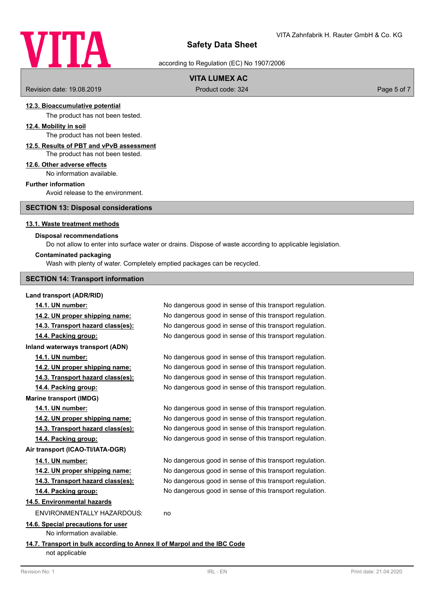

according to Regulation (EC) No 1907/2006

# **VITA LUMEX AC**

Revision date: 19.08.2019 **Product code: 324** Product code: 324 **Page 5 of 7** Page 5 of 7

### **12.3. Bioaccumulative potential**

The product has not been tested.

#### **12.4. Mobility in soil**

The product has not been tested.

# **12.5. Results of PBT and vPvB assessment**

The product has not been tested.

#### **12.6. Other adverse effects**

No information available.

## **Further information**

Avoid release to the environment.

### **SECTION 13: Disposal considerations**

#### **13.1. Waste treatment methods**

### **Disposal recommendations**

Do not allow to enter into surface water or drains. Dispose of waste according to applicable legislation.

#### **Contaminated packaging**

Wash with plenty of water. Completely emptied packages can be recycled.

#### **SECTION 14: Transport information**

#### **Land transport (ADR/RID)**

**14.1. UN number:** No dangerous good in sense of this transport regulation. **14.2. UN proper shipping name:** No dangerous good in sense of this transport regulation. **14.3. Transport hazard class(es):** No dangerous good in sense of this transport regulation. **14.4. Packing group:** No dangerous good in sense of this transport regulation. **Inland waterways transport (ADN) 14.1. UN number:** No dangerous good in sense of this transport regulation. **14.2. UN proper shipping name:** No dangerous good in sense of this transport regulation. **14.3. Transport hazard class(es):** No dangerous good in sense of this transport regulation. **14.4. Packing group:** No dangerous good in sense of this transport regulation. **Marine transport (IMDG) 14.1. UN number:** No dangerous good in sense of this transport regulation. **14.2. UN proper shipping name:** No dangerous good in sense of this transport regulation. **14.3. Transport hazard class(es):** No dangerous good in sense of this transport regulation. **14.4. Packing group:** No dangerous good in sense of this transport regulation. **Air transport (ICAO-TI/IATA-DGR) 14.1. UN number:** No dangerous good in sense of this transport regulation. **14.2. UN proper shipping name:** No dangerous good in sense of this transport regulation. **14.3. Transport hazard class(es):** No dangerous good in sense of this transport regulation. **14.4. Packing group:** No dangerous good in sense of this transport regulation. **14.5. Environmental hazards** ENVIRONMENTALLY HAZARDOUS: no **14.6. Special precautions for user** No information available. **14.7. Transport in bulk according to Annex II of Marpol and the IBC Code** not applicable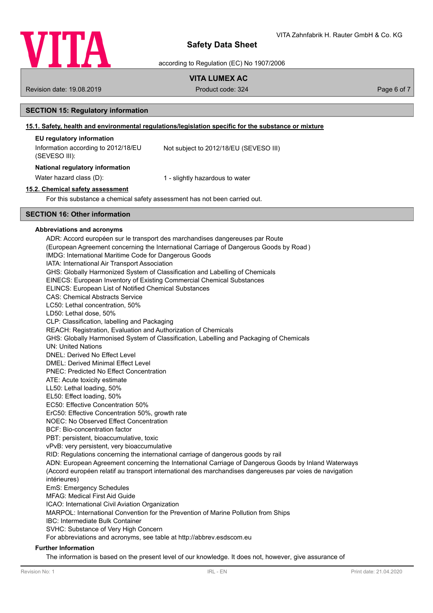

according to Regulation (EC) No 1907/2006

# **VITA LUMEX AC**

Revision date: 19.08.2019 **Product code: 324** Product code: 324 **Page 6 of 7** Page 6 of 7

## **SECTION 15: Regulatory information**

# **15.1. Safety, health and environmental regulations/legislation specific for the substance or mixture**

## **EU regulatory information**

| Information according to 2012/18/EU<br>(SEVESO III): | Not subject to 2012/18/EU (SEVESO III) |
|------------------------------------------------------|----------------------------------------|
| National regulatory information                      |                                        |
| Water hazard class (D):                              | 1 - slightly hazardous to water        |

# **15.2. Chemical safety assessment**

For this substance a chemical safety assessment has not been carried out.

### **SECTION 16: Other information**

#### **Abbreviations and acronyms**

ADR: Accord européen sur le transport des marchandises dangereuses par Route (European Agreement concerning the International Carriage of Dangerous Goods by Road ) IMDG: International Maritime Code for Dangerous Goods IATA: International Air Transport Association GHS: Globally Harmonized System of Classification and Labelling of Chemicals EINECS: European Inventory of Existing Commercial Chemical Substances ELINCS: European List of Notified Chemical Substances CAS: Chemical Abstracts Service LC50: Lethal concentration, 50% LD50: Lethal dose, 50% CLP: Classification, labelling and Packaging REACH: Registration, Evaluation and Authorization of Chemicals GHS: Globally Harmonised System of Classification, Labelling and Packaging of Chemicals UN: United Nations DNEL: Derived No Effect Level DMEL: Derived Minimal Effect Level PNEC: Predicted No Effect Concentration ATE: Acute toxicity estimate LL50: Lethal loading, 50% EL50: Effect loading, 50% EC50: Effective Concentration 50% ErC50: Effective Concentration 50%, growth rate NOEC: No Observed Effect Concentration BCF: Bio-concentration factor PBT: persistent, bioaccumulative, toxic vPvB: very persistent, very bioaccumulative RID: Regulations concerning the international carriage of dangerous goods by rail ADN: European Agreement concerning the International Carriage of Dangerous Goods by Inland Waterways (Accord européen relatif au transport international des marchandises dangereuses par voies de navigation intérieures) EmS: Emergency Schedules MFAG: Medical First Aid Guide ICAO: International Civil Aviation Organization MARPOL: International Convention for the Prevention of Marine Pollution from Ships IBC: Intermediate Bulk Container SVHC: Substance of Very High Concern For abbreviations and acronyms, see table at http://abbrev.esdscom.eu

#### **Further Information**

The information is based on the present level of our knowledge. It does not, however, give assurance of